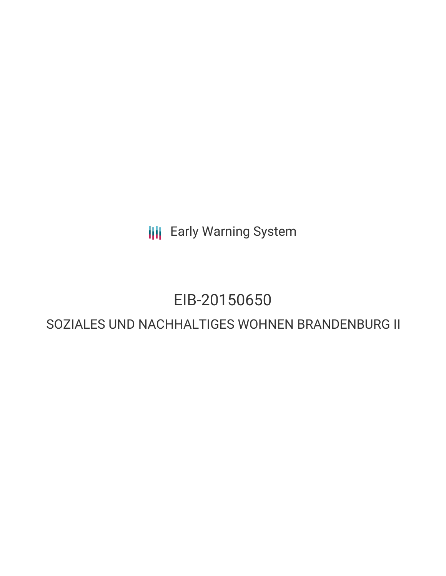**III** Early Warning System

# EIB-20150650

## SOZIALES UND NACHHALTIGES WOHNEN BRANDENBURG II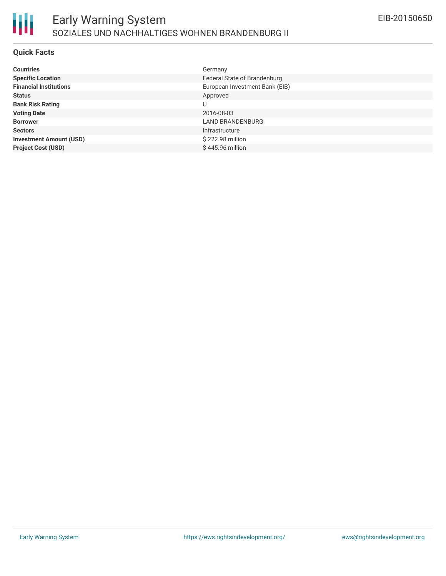

#### **Quick Facts**

| <b>Countries</b>               | Germany                        |
|--------------------------------|--------------------------------|
| <b>Specific Location</b>       | Federal State of Brandenburg   |
| <b>Financial Institutions</b>  | European Investment Bank (EIB) |
| <b>Status</b>                  | Approved                       |
| <b>Bank Risk Rating</b>        | U                              |
| <b>Voting Date</b>             | 2016-08-03                     |
| <b>Borrower</b>                | LAND BRANDENBURG               |
| <b>Sectors</b>                 | Infrastructure                 |
| <b>Investment Amount (USD)</b> | $$222.98$ million              |
| <b>Project Cost (USD)</b>      | \$445.96 million               |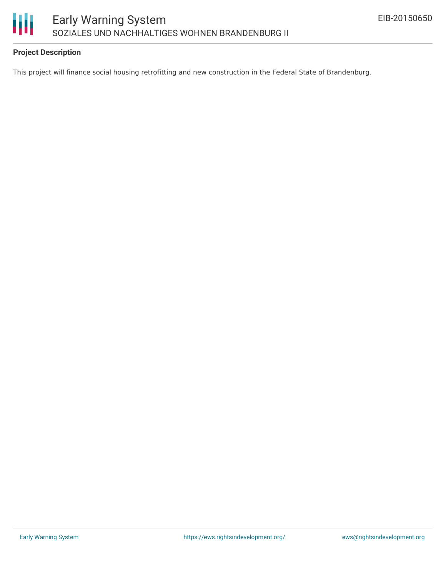

### **Project Description**

This project will finance social housing retrofitting and new construction in the Federal State of Brandenburg.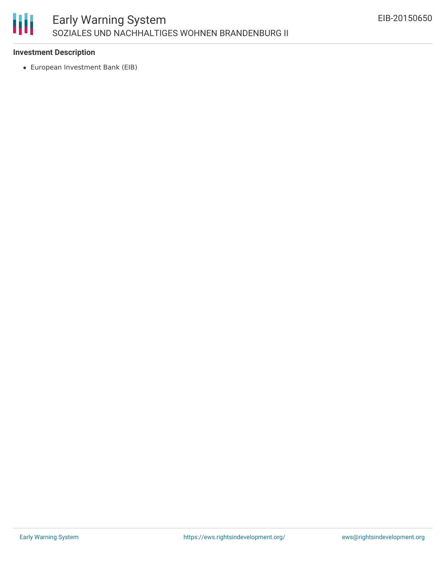

#### **Investment Description**

European Investment Bank (EIB)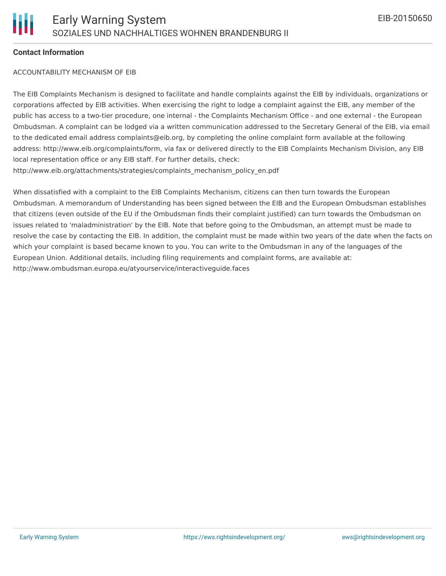#### **Contact Information**

#### ACCOUNTABILITY MECHANISM OF EIB

The EIB Complaints Mechanism is designed to facilitate and handle complaints against the EIB by individuals, organizations or corporations affected by EIB activities. When exercising the right to lodge a complaint against the EIB, any member of the public has access to a two-tier procedure, one internal - the Complaints Mechanism Office - and one external - the European Ombudsman. A complaint can be lodged via a written communication addressed to the Secretary General of the EIB, via email to the dedicated email address complaints@eib.org, by completing the online complaint form available at the following address: http://www.eib.org/complaints/form, via fax or delivered directly to the EIB Complaints Mechanism Division, any EIB local representation office or any EIB staff. For further details, check: http://www.eib.org/attachments/strategies/complaints\_mechanism\_policy\_en.pdf

When dissatisfied with a complaint to the EIB Complaints Mechanism, citizens can then turn towards the European Ombudsman. A memorandum of Understanding has been signed between the EIB and the European Ombudsman establishes that citizens (even outside of the EU if the Ombudsman finds their complaint justified) can turn towards the Ombudsman on issues related to 'maladministration' by the EIB. Note that before going to the Ombudsman, an attempt must be made to resolve the case by contacting the EIB. In addition, the complaint must be made within two years of the date when the facts on which your complaint is based became known to you. You can write to the Ombudsman in any of the languages of the European Union. Additional details, including filing requirements and complaint forms, are available at: http://www.ombudsman.europa.eu/atyourservice/interactiveguide.faces